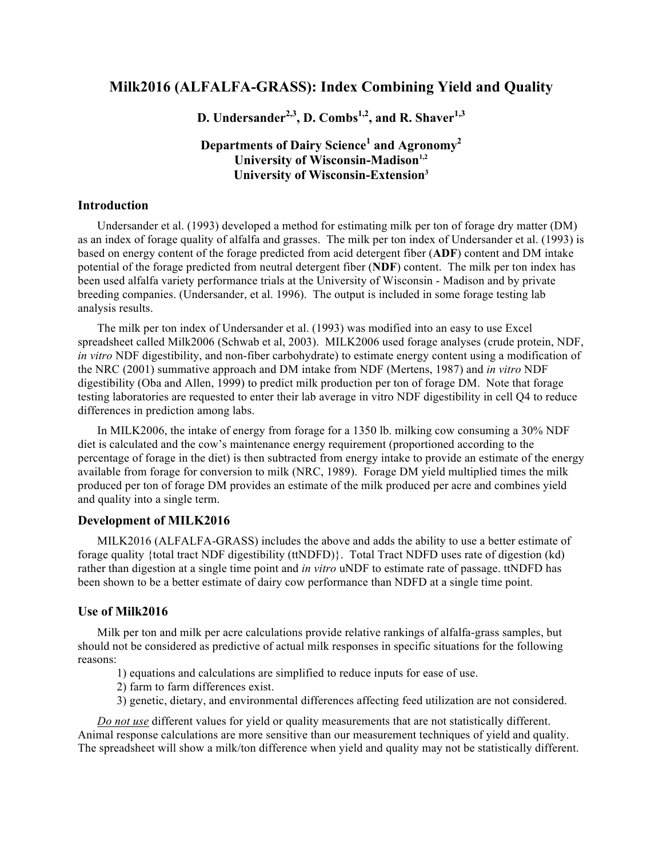## **Milk2016 (ALFALFA-GRASS): Index Combining Yield and Quality**

D. Undersander<sup>2,3</sup>, D. Combs<sup>1,2</sup>, and R. Shaver<sup>1,3</sup>

# **Departments of Dairy Science1 and Agronomy2 University of Wisconsin-Madison**<sup>1,2</sup> **University of Wisconsin-Extension3**

#### **Introduction**

Undersander et al. (1993) developed a method for estimating milk per ton of forage dry matter (DM) as an index of forage quality of alfalfa and grasses. The milk per ton index of Undersander et al. (1993) is based on energy content of the forage predicted from acid detergent fiber (**ADF**) content and DM intake potential of the forage predicted from neutral detergent fiber (**NDF**) content. The milk per ton index has been used alfalfa variety performance trials at the University of Wisconsin - Madison and by private breeding companies. (Undersander, et al. 1996). The output is included in some forage testing lab analysis results.

The milk per ton index of Undersander et al. (1993) was modified into an easy to use Excel spreadsheet called Milk2006 (Schwab et al, 2003). MILK2006 used forage analyses (crude protein, NDF, *in vitro* NDF digestibility, and non-fiber carbohydrate) to estimate energy content using a modification of the NRC (2001) summative approach and DM intake from NDF (Mertens, 1987) and *in vitro* NDF digestibility (Oba and Allen, 1999) to predict milk production per ton of forage DM. Note that forage testing laboratories are requested to enter their lab average in vitro NDF digestibility in cell Q4 to reduce differences in prediction among labs.

In MILK2006, the intake of energy from forage for a 1350 lb. milking cow consuming a 30% NDF diet is calculated and the cow's maintenance energy requirement (proportioned according to the percentage of forage in the diet) is then subtracted from energy intake to provide an estimate of the energy available from forage for conversion to milk (NRC, 1989). Forage DM yield multiplied times the milk produced per ton of forage DM provides an estimate of the milk produced per acre and combines yield and quality into a single term.

#### **Development of MILK2016**

MILK2016 (ALFALFA-GRASS) includes the above and adds the ability to use a better estimate of forage quality {total tract NDF digestibility (ttNDFD)}. Total Tract NDFD uses rate of digestion (kd) rather than digestion at a single time point and *in vitro* uNDF to estimate rate of passage. ttNDFD has been shown to be a better estimate of dairy cow performance than NDFD at a single time point.

#### **Use of Milk2016**

Milk per ton and milk per acre calculations provide relative rankings of alfalfa-grass samples, but should not be considered as predictive of actual milk responses in specific situations for the following reasons:

- 1) equations and calculations are simplified to reduce inputs for ease of use.
- 2) farm to farm differences exist.
- 3) genetic, dietary, and environmental differences affecting feed utilization are not considered.

*Do not use* different values for yield or quality measurements that are not statistically different. Animal response calculations are more sensitive than our measurement techniques of yield and quality. The spreadsheet will show a milk/ton difference when yield and quality may not be statistically different.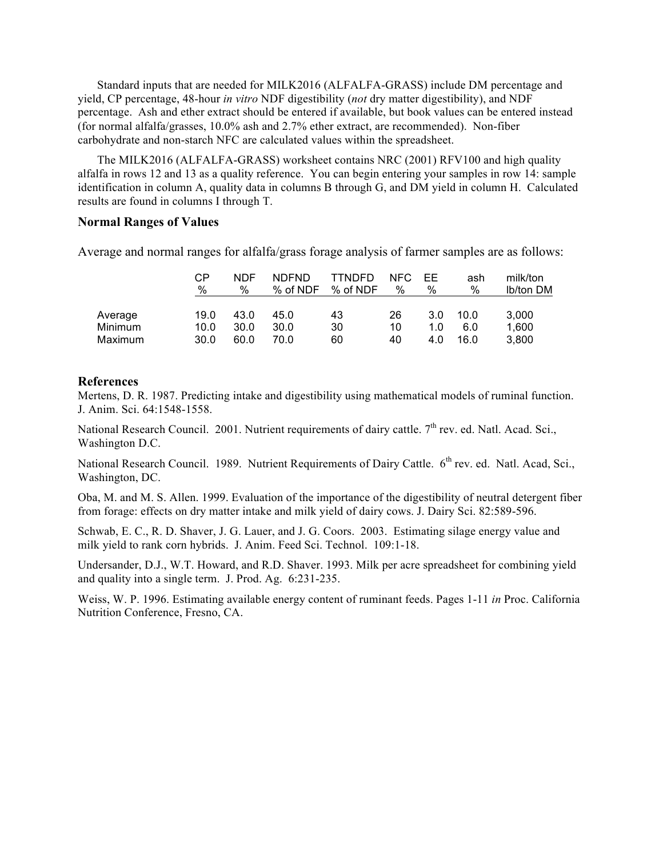Standard inputs that are needed for MILK2016 (ALFALFA-GRASS) include DM percentage and yield, CP percentage, 48-hour *in vitro* NDF digestibility (*not* dry matter digestibility), and NDF percentage. Ash and ether extract should be entered if available, but book values can be entered instead (for normal alfalfa/grasses, 10.0% ash and 2.7% ether extract, are recommended). Non-fiber carbohydrate and non-starch NFC are calculated values within the spreadsheet.

The MILK2016 (ALFALFA-GRASS) worksheet contains NRC (2001) RFV100 and high quality alfalfa in rows 12 and 13 as a quality reference. You can begin entering your samples in row 14: sample identification in column A, quality data in columns B through G, and DM yield in column H. Calculated results are found in columns I through T.

#### **Normal Ranges of Values**

Average and normal ranges for alfalfa/grass forage analysis of farmer samples are as follows:

|         | СP<br>$\%$ | <b>NDF</b><br>% | <b>NDFND</b><br>% of NDF | <b>TTNDFD</b><br>% of NDF | NFC.<br>$\%$ | -FF<br>% | ash<br>% | milk/ton<br>lb/ton DM |
|---------|------------|-----------------|--------------------------|---------------------------|--------------|----------|----------|-----------------------|
| Average | 19.0       | 43.0            | 45.0                     | 43                        | 26           | 3.0      | 10.0     | 3.000                 |
| Minimum | 10.0       | 30.0            | 30.0                     | 30                        | 10           | 1.0      | 6.0      | 1,600                 |
| Maximum | 30.0       | 60.0            | 70.0                     | 60                        | 40           | 4.0      | 16.0     | 3.800                 |

### **References**

Mertens, D. R. 1987. Predicting intake and digestibility using mathematical models of ruminal function. J. Anim. Sci. 64:1548-1558.

National Research Council. 2001. Nutrient requirements of dairy cattle. 7<sup>th</sup> rev. ed. Natl. Acad. Sci., Washington D.C.

National Research Council. 1989. Nutrient Requirements of Dairy Cattle. 6<sup>th</sup> rev. ed. Natl. Acad, Sci., Washington, DC.

Oba, M. and M. S. Allen. 1999. Evaluation of the importance of the digestibility of neutral detergent fiber from forage: effects on dry matter intake and milk yield of dairy cows. J. Dairy Sci. 82:589-596.

Schwab, E. C., R. D. Shaver, J. G. Lauer, and J. G. Coors. 2003. Estimating silage energy value and milk yield to rank corn hybrids. J. Anim. Feed Sci. Technol. 109:1-18.

Undersander, D.J., W.T. Howard, and R.D. Shaver. 1993. Milk per acre spreadsheet for combining yield and quality into a single term. J. Prod. Ag. 6:231-235.

Weiss, W. P. 1996. Estimating available energy content of ruminant feeds. Pages 1-11 *in* Proc. California Nutrition Conference, Fresno, CA.